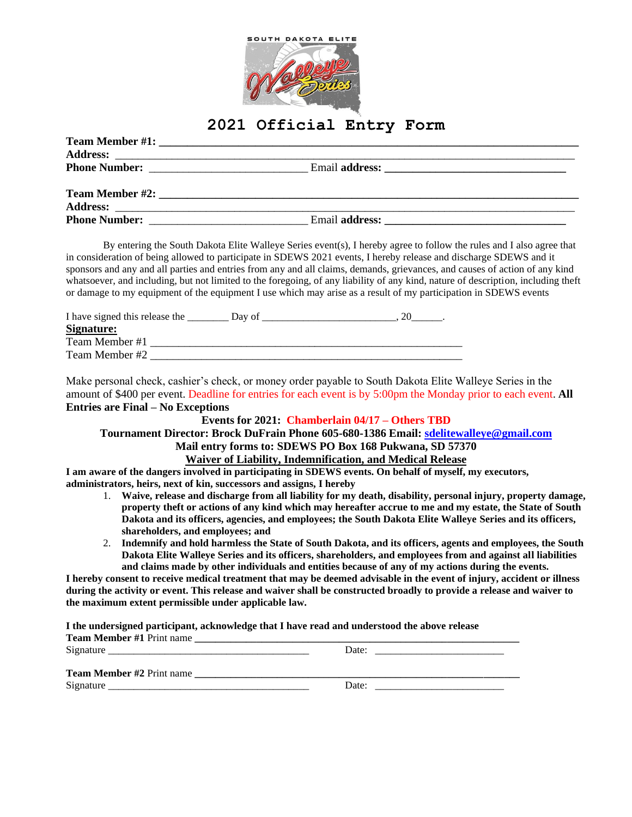

## **2021 Official Entry Form**

| <b>Phone Number:</b> The Second Second Second Second Second Second Second Second Second Second Second Second Second Second Second Second Second Second Second Second Second Second Second Second Second Second Second Second Second |  |
|-------------------------------------------------------------------------------------------------------------------------------------------------------------------------------------------------------------------------------------|--|

By entering the South Dakota Elite Walleye Series event(s), I hereby agree to follow the rules and I also agree that in consideration of being allowed to participate in SDEWS 2021 events, I hereby release and discharge SDEWS and it sponsors and any and all parties and entries from any and all claims, demands, grievances, and causes of action of any kind whatsoever, and including, but not limited to the foregoing, of any liability of any kind, nature of description, including theft or damage to my equipment of the equipment I use which may arise as a result of my participation in SDEWS events

| I have signed this release the | Day of |  |
|--------------------------------|--------|--|
| Signature:                     |        |  |
| Team Member #1                 |        |  |
| Team Member #2                 |        |  |

Make personal check, cashier's check, or money order payable to South Dakota Elite Walleye Series in the amount of \$400 per event. Deadline for entries for each event is by 5:00pm the Monday prior to each event. **All Entries are Final – No Exceptions**

### **Events for 2021: Chamberlain 04/17 – Others TBD**

# **Tournament Director: Brock DuFrain Phone 605-680-1386 Email: [sdelitewalleye@gmail.com](mailto:sdelitewalleye@gmail.com)**

### **Mail entry forms to: SDEWS PO Box 168 Pukwana, SD 57370**

### **Waiver of Liability, Indemnification, and Medical Release**

**I am aware of the dangers involved in participating in SDEWS events. On behalf of myself, my executors, administrators, heirs, next of kin, successors and assigns, I hereby**

- 1. **Waive, release and discharge from all liability for my death, disability, personal injury, property damage, property theft or actions of any kind which may hereafter accrue to me and my estate, the State of South Dakota and its officers, agencies, and employees; the South Dakota Elite Walleye Series and its officers, shareholders, and employees; and**
- 2. **Indemnify and hold harmless the State of South Dakota, and its officers, agents and employees, the South Dakota Elite Walleye Series and its officers, shareholders, and employees from and against all liabilities and claims made by other individuals and entities because of any of my actions during the events.**

**I hereby consent to receive medical treatment that may be deemed advisable in the event of injury, accident or illness during the activity or event. This release and waiver shall be constructed broadly to provide a release and waiver to the maximum extent permissible under applicable law.**

**I the undersigned participant, acknowledge that I have read and understood the above release**

| <b>Team Member #1 Print name</b>                                                                                |       |  |
|-----------------------------------------------------------------------------------------------------------------|-------|--|
| Signature<br>and the state of the state of the state of the state of the state of the state of the state of the | Date: |  |
| <b>Team Member #2 Print name</b>                                                                                |       |  |
|                                                                                                                 |       |  |
| Signature                                                                                                       | Date: |  |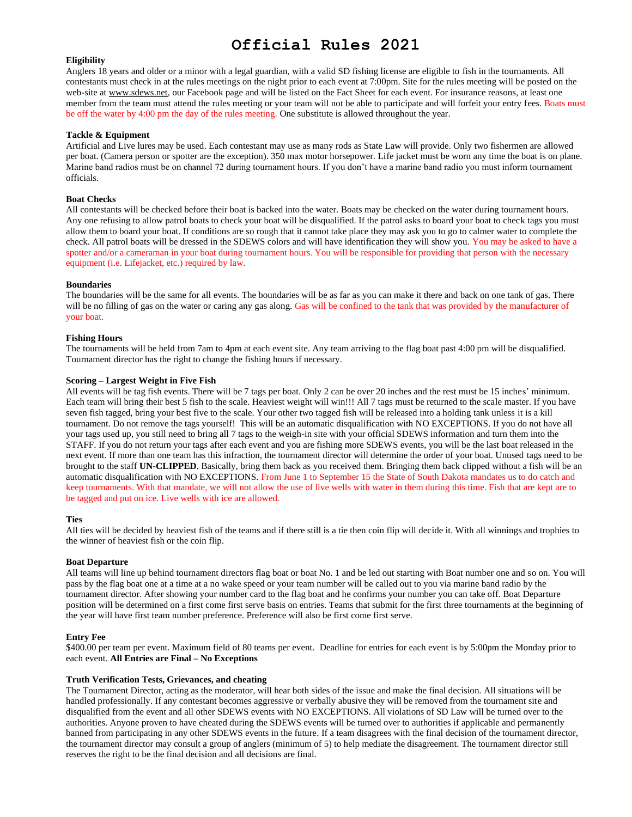## **Official Rules 2021**

#### **Eligibility**

Anglers 18 years and older or a minor with a legal guardian, with a valid SD fishing license are eligible to fish in the tournaments. All contestants must check in at the rules meetings on the night prior to each event at 7:00pm. Site for the rules meeting will be posted on the web-site a[t www.sdews.net,](http://www.sdews.net/) our Facebook page and will be listed on the Fact Sheet for each event. For insurance reasons, at least one member from the team must attend the rules meeting or your team will not be able to participate and will forfeit your entry fees. Boats must be off the water by 4:00 pm the day of the rules meeting. One substitute is allowed throughout the year.

#### **Tackle & Equipment**

Artificial and Live lures may be used. Each contestant may use as many rods as State Law will provide. Only two fishermen are allowed per boat. (Camera person or spotter are the exception). 350 max motor horsepower. Life jacket must be worn any time the boat is on plane. Marine band radios must be on channel 72 during tournament hours. If you don't have a marine band radio you must inform tournament officials.

#### **Boat Checks**

All contestants will be checked before their boat is backed into the water. Boats may be checked on the water during tournament hours. Any one refusing to allow patrol boats to check your boat will be disqualified. If the patrol asks to board your boat to check tags you must allow them to board your boat. If conditions are so rough that it cannot take place they may ask you to go to calmer water to complete the check. All patrol boats will be dressed in the SDEWS colors and will have identification they will show you. You may be asked to have a spotter and/or a cameraman in your boat during tournament hours. You will be responsible for providing that person with the necessary equipment (i.e. Lifejacket, etc.) required by law.

#### **Boundaries**

The boundaries will be the same for all events. The boundaries will be as far as you can make it there and back on one tank of gas. There will be no filling of gas on the water or caring any gas along. Gas will be confined to the tank that was provided by the manufacturer of your boat.

#### **Fishing Hours**

The tournaments will be held from 7am to 4pm at each event site. Any team arriving to the flag boat past 4:00 pm will be disqualified. Tournament director has the right to change the fishing hours if necessary.

#### **Scoring – Largest Weight in Five Fish**

All events will be tag fish events. There will be 7 tags per boat. Only 2 can be over 20 inches and the rest must be 15 inches' minimum. Each team will bring their best 5 fish to the scale. Heaviest weight will win!!! All 7 tags must be returned to the scale master. If you have seven fish tagged, bring your best five to the scale. Your other two tagged fish will be released into a holding tank unless it is a kill tournament. Do not remove the tags yourself! This will be an automatic disqualification with NO EXCEPTIONS. If you do not have all your tags used up, you still need to bring all 7 tags to the weigh-in site with your official SDEWS information and turn them into the STAFF. If you do not return your tags after each event and you are fishing more SDEWS events, you will be the last boat released in the next event. If more than one team has this infraction, the tournament director will determine the order of your boat. Unused tags need to be brought to the staff **UN-CLIPPED**. Basically, bring them back as you received them. Bringing them back clipped without a fish will be an automatic disqualification with NO EXCEPTIONS. From June 1 to September 15 the State of South Dakota mandates us to do catch and keep tournaments. With that mandate, we will not allow the use of live wells with water in them during this time. Fish that are kept are to be tagged and put on ice. Live wells with ice are allowed.

#### **Ties**

All ties will be decided by heaviest fish of the teams and if there still is a tie then coin flip will decide it. With all winnings and trophies to the winner of heaviest fish or the coin flip.

#### **Boat Departure**

All teams will line up behind tournament directors flag boat or boat No. 1 and be led out starting with Boat number one and so on. You will pass by the flag boat one at a time at a no wake speed or your team number will be called out to you via marine band radio by the tournament director. After showing your number card to the flag boat and he confirms your number you can take off. Boat Departure position will be determined on a first come first serve basis on entries. Teams that submit for the first three tournaments at the beginning of the year will have first team number preference. Preference will also be first come first serve.

#### **Entry Fee**

\$400.00 per team per event. Maximum field of 80 teams per event. Deadline for entries for each event is by 5:00pm the Monday prior to each event. **All Entries are Final – No Exceptions**

#### **Truth Verification Tests, Grievances, and cheating**

The Tournament Director, acting as the moderator, will hear both sides of the issue and make the final decision. All situations will be handled professionally. If any contestant becomes aggressive or verbally abusive they will be removed from the tournament site and disqualified from the event and all other SDEWS events with NO EXCEPTIONS. All violations of SD Law will be turned over to the authorities. Anyone proven to have cheated during the SDEWS events will be turned over to authorities if applicable and permanently banned from participating in any other SDEWS events in the future. If a team disagrees with the final decision of the tournament director, the tournament director may consult a group of anglers (minimum of 5) to help mediate the disagreement. The tournament director still reserves the right to be the final decision and all decisions are final.